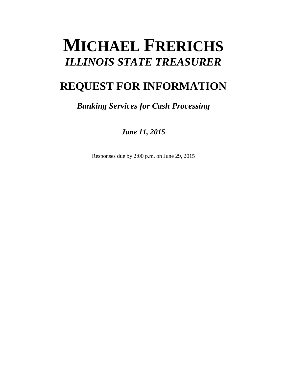# **MICHAEL FRERICHS** *ILLINOIS STATE TREASURER*

## **REQUEST FOR INFORMATION**

### *Banking Services for Cash Processing*

*June 11, 2015*

Responses due by 2:00 p.m. on June 29, 2015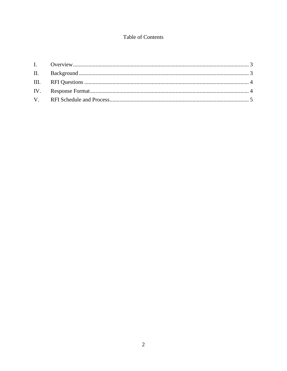#### Table of Contents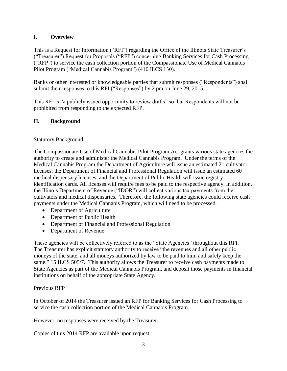#### <span id="page-2-0"></span>**I. Overview**

This is a Request for Information ("RFI") regarding the Office of the Illinois State Treasurer's ("Treasurer") Request for Proposals ("RFP") concerning Banking Services for Cash Processing ("RFP") to service the cash collection portion of the Compassionate Use of Medical Cannabis Pilot Program ("Medical Cannabis Program") (410 ILCS 130).

Banks or other interested or knowledgeable parties that submit responses ("Respondents") shall submit their responses to this RFI ("Responses") by 2 pm on June 29, 2015.

This RFI is "a publicly issued opportunity to review drafts" so that Respondents will not be prohibited from responding to the expected RFP.

#### <span id="page-2-1"></span>**II. Background**

#### Statutory Background

The Compassionate Use of Medical Cannabis Pilot Program Act grants various state agencies the authority to create and administer the Medical Cannabis Program. Under the terms of the Medical Cannabis Program the Department of Agriculture will issue an estimated 21 cultivator licenses, the Department of Financial and Professional Regulation will issue an estimated 60 medical dispensary licenses, and the Department of Public Health will issue registry identification cards. All licenses will require fees to be paid to the respective agency. In addition, the Illinois Department of Revenue ("IDOR") will collect various tax payments from the cultivators and medical dispensaries. Therefore, the following state agencies could receive cash payments under the Medical Cannabis Program, which will need to be processed.

- Department of Agriculture
- Department of Public Health
- Department of Financial and Professional Regulation
- Department of Revenue

These agencies will be collectively referred to as the "State Agencies" throughout this RFI. The Treasurer has explicit statutory authority to receive "the revenues and all other public moneys of the state, and all moneys authorized by law to be paid to him, and safely keep the same." 15 ILCS 505/7. This authority allows the Treasurer to receive cash payments made to State Agencies as part of the Medical Cannabis Program, and deposit those payments in financial institutions on behalf of the appropriate State Agency.

#### Previous RFP

In October of 2014 the Treasurer issued an RFP for Banking Services for Cash Processing to service the cash collection portion of the Medical Cannabis Program.

However, no responses were received by the Treasurer.

Copies of this 2014 RFP are available upon request.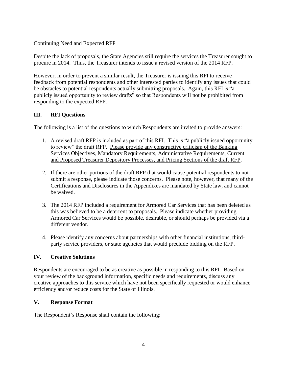#### Continuing Need and Expected RFP

Despite the lack of proposals, the State Agencies still require the services the Treasurer sought to procure in 2014. Thus, the Treasurer intends to issue a revised version of the 2014 RFP.

However, in order to prevent a similar result, the Treasurer is issuing this RFI to receive feedback from potential respondents and other interested parties to identify any issues that could be obstacles to potential respondents actually submitting proposals. Again, this RFI is "a publicly issued opportunity to review drafts" so that Respondents will not be prohibited from responding to the expected RFP.

#### <span id="page-3-0"></span>**III. RFI Questions**

The following is a list of the questions to which Respondents are invited to provide answers:

- 1. A revised draft RFP is included as part of this RFI. This is "a publicly issued opportunity to review" the draft RFP. Please provide any constructive criticism of the Banking Services Objectives, Mandatory Requirements, Administrative Requirements, Current and Proposed Treasurer Depository Processes, and Pricing Sections of the draft RFP.
- 2. If there are other portions of the draft RFP that would cause potential respondents to not submit a response, please indicate those concerns. Please note, however, that many of the Certifications and Disclosures in the Appendixes are mandated by State law, and cannot be waived.
- 3. The 2014 RFP included a requirement for Armored Car Services that has been deleted as this was believed to be a deterrent to proposals. Please indicate whether providing Armored Car Services would be possible, desirable, or should perhaps be provided via a different vendor.
- 4. Please identify any concerns about partnerships with other financial institutions, thirdparty service providers, or state agencies that would preclude bidding on the RFP.

#### **IV. Creative Solutions**

Respondents are encouraged to be as creative as possible in responding to this RFI. Based on your review of the background information, specific needs and requirements, discuss any creative approaches to this service which have not been specifically requested or would enhance efficiency and/or reduce costs for the State of Illinois.

#### <span id="page-3-1"></span>**V. Response Format**

The Respondent's Response shall contain the following: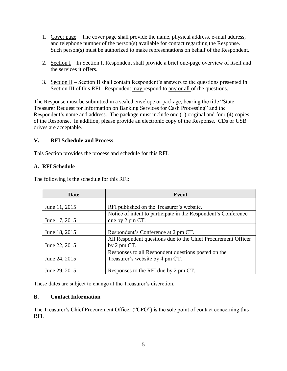- 1. Cover page The cover page shall provide the name, physical address, e-mail address, and telephone number of the person(s) available for contact regarding the Response. Such person(s) must be authorized to make representations on behalf of the Respondent.
- 2. Section I In Section I, Respondent shall provide a brief one-page overview of itself and the services it offers.
- 3. Section II Section II shall contain Respondent's answers to the questions presented in Section III of this RFI. Respondent may respond to any or all of the questions.

The Response must be submitted in a sealed envelope or package, bearing the title "State Treasurer Request for Information on Banking Services for Cash Processing" and the Respondent's name and address. The package must include one (1) original and four (4) copies of the Response. In addition, please provide an electronic copy of the Response. CDs or USB drives are acceptable.

#### <span id="page-4-0"></span>**V. RFI Schedule and Process**

This Section provides the process and schedule for this RFI.

#### **A. RFI Schedule**

| <b>Date</b>   | Event                                                          |
|---------------|----------------------------------------------------------------|
|               |                                                                |
| June 11, 2015 | RFI published on the Treasurer's website.                      |
|               | Notice of intent to participate in the Respondent's Conference |
| June 17, 2015 | due by 2 pm CT.                                                |
|               |                                                                |
| June 18, 2015 | Respondent's Conference at 2 pm CT.                            |
|               | All Respondent questions due to the Chief Procurement Officer  |
| June 22, 2015 | by $2 \text{ pm } CT$ .                                        |
|               | Responses to all Respondent questions posted on the            |
| June 24, 2015 | Treasurer's website by 4 pm CT.                                |
|               |                                                                |
| June 29, 2015 | Responses to the RFI due by 2 pm CT.                           |

The following is the schedule for this RFI:

These dates are subject to change at the Treasurer's discretion.

#### **B. Contact Information**

The Treasurer's Chief Procurement Officer ("CPO") is the sole point of contact concerning this RFI.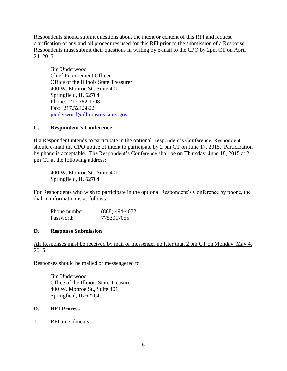Respondents should submit questions about the intent or content of this RFI and request clarification of any and all procedures used for this RFI prior to the submission of a Response. Respondents must submit their questions in writing by e-mail to the CPO by 2pm CT on April 24, 2015.

Jim Underwood Chief Procurement Officer Office of the Illinois State Treasurer 400 W. Monroe St., Suite 401 Springfield, IL 62704 Phone: 217.782.1708 Fax: 217.524.3822 [junderwood@illinoistreasurer.gov](mailto:junderwood@illinoistreasurer.gov)

#### **C. Respondent's Conference**

If a Respondent intends to participate in the optional Respondent's Conference, Respondent should e-mail the CPO notice of intent to participate by 2 pm CT on June 17, 2015. Participation by phone is acceptable. The Respondent's Conference shall be on Thursday, June 18, 2015 at 2 pm CT at the following address:

400 W. Monroe St., Suite 401 Springfield, IL 62704

For Respondents who wish to participate in the optional Respondent's Conference by phone, the dial-in information is as follows:

| Phone number: | $(888)$ 494-4032 |
|---------------|------------------|
| Password:     | 7753017055       |

#### **D. Response Submission**

All Responses must be received by mail or messenger no later than 2 pm CT on Monday, May 4, 2015.

Responses should be mailed or messengered to

Jim Underwood Office of the Illinois State Treasurer 400 W. Monroe St., Suite 401 Springfield, IL 62704

#### **D. RFI Process**

1. RFI amendments